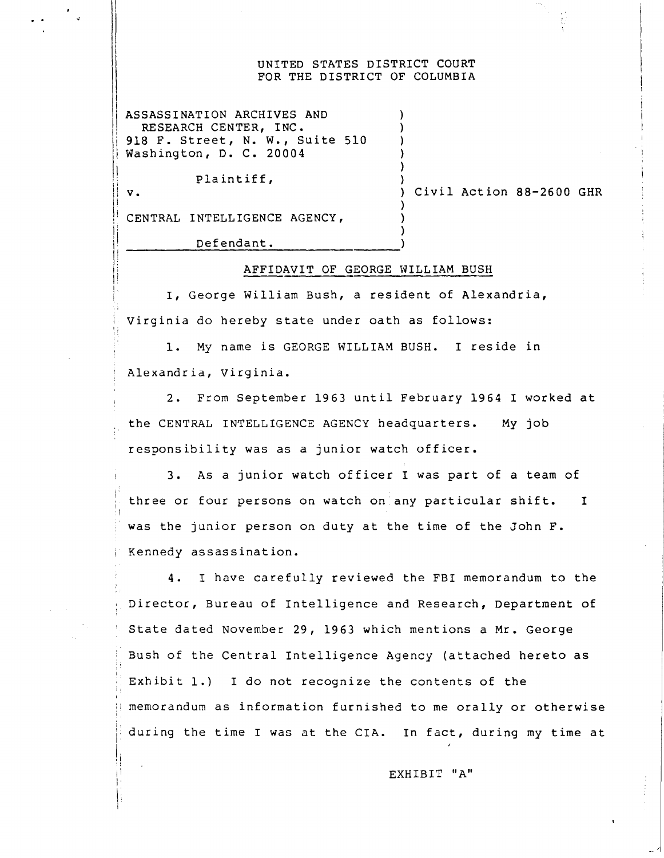#### UNITED STATES DISTRICT COURT FOR THE DISTRICT OF COLUMBIA

ASSASSINATION ARCHIVES AND RESEARCH CENTER, INC . 918 F. Street, N. W., Suite 510 Washington, D. C. 20004

Plaintiff,

 $V<sub>1</sub>$ 

Civil Action 88-2600 GHR

V

CENTRAL INTELLIGENCE AGENCY,

Defendant .

#### AFFIDAVIT OF GEORGE WILLIAM BUSH

 $\cdot$ 

I, George William Bush, a resident of Alexandria, Virginia do hereby state under oath as follows:

1. My name is GEORGE WILLIAM BUSH. I reside in Alexandria, Virginia .

<sup>2</sup> . From September 1963 until February 1964 <sup>I</sup> worked at the CENTRAL INTELLIGENCE AGENCY headquarters. My job responsibility was as a junior watch officer .

3 . As a junior watch officer <sup>I</sup> was part of a team of three or four persons on watch on any particular shift. I was the junior person on duty at the time of the John F. Kennedy assassination .

<sup>4</sup> . <sup>I</sup> have carefully reviewed the FBI memorandum to the Director, Bureau of Intelligence and Research, Department of State dated November 29, 1963 which mentions a Mr . George Bush of the Central Intelligence Agency (attached hereto as Exhibit  $1$ .) I do not recognize the contents of the memorandum as information furnished to me orally or otherwise during the time I was at the CIA. In fact, during my time at

EXHIBIT "A"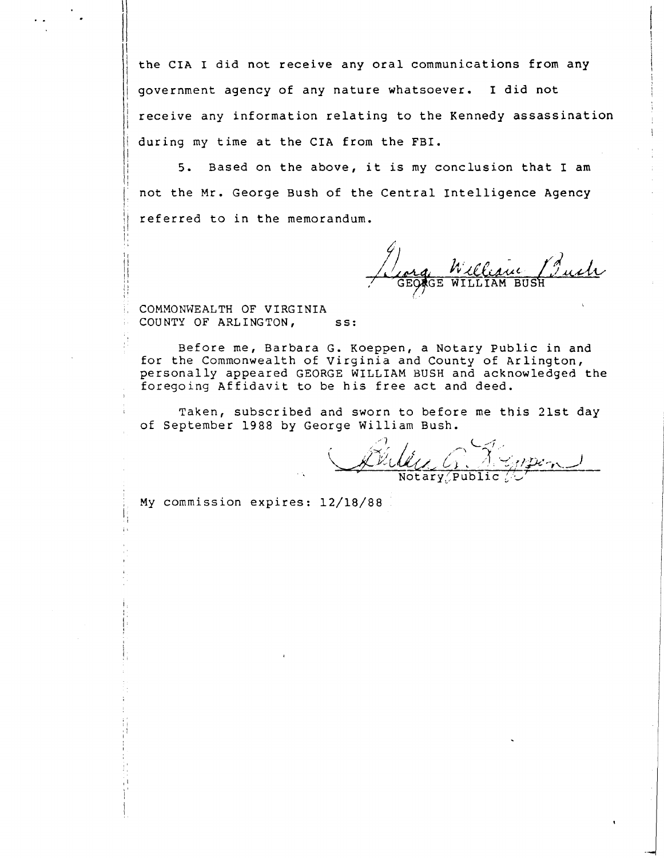the CIA I did not receive any oral communications from any government agency of any nature whatsoever. I did not receive any information relating to the Kennedy assassination I during my time at the CIA from the FBI .

5. Based on the above, it is my conclusion that I am not the Mr . George Bush of the Central Intelligence Agency referred to in the memorandum .

GEORGE WILLIAM BUS

i

COMMONWEALTH OF VIRGINIA COUNTY OF ARLINGTON, ss:

i

i

Before me, Barbara G. Koeppen, a Notary Public in and for the Commonwealth of Virginia and County of Arlington, personally appeared GEORGE WILLIAM BUSH and acknowledged the foregoing Affidavit to be his free act and deed .

Taken, subscribed and sworn to before me this 21st day of September 1988 by George William Bush.

Notary, Public

My commission expires: 12/18/88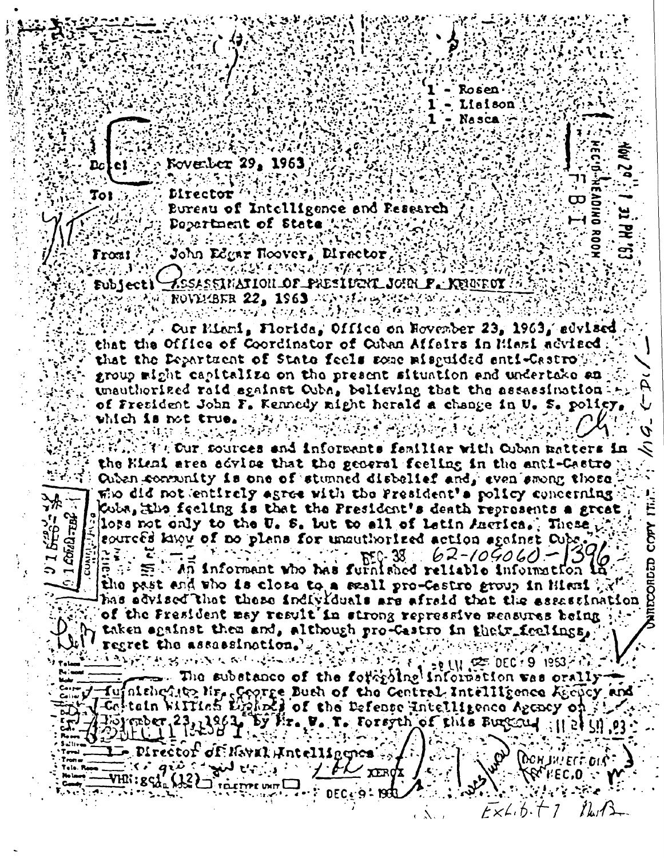

**Kovenber 29, 1963** 

Director<sup>10</sup> Bureau of Intelligence and Research Department of State Annihilar  $\mathcal{L}_{\mathcal{I}}(\mathcal{I})$  , i.e. AA A ARCABON ERANDO

John Edgar Hoover, Director, Front 2 OSA KATIKE ORA MARKATER (1888) IS Xesassination of President John P. Kruffot (\* Eubjecti ROVECBER 22. 1963 ACAMERINAMENTAL

. Our Miami, Florida, Office on November 23, 1963, sdylaed that the Office of Coordinator of Cuban Affairs in Miami advised. that the Department of State feels some misquided enti-Castro Will group might capitalize on the present situation and undertake an unauthorized raid sgainst Ouba, believing that the assassination of Fresident John F. Kennedy might herald a change in U. S. policy. which is not true. I have a find that high fight

2020年11月10日,安排大臣开启建设的大学院皇帝表示了张秀的产生。

**SERNEY Cur sources and informants familiar with Cuban matters in** the Kisai area advice that the general feeling in the anti-Castro  $\forall \mathcal{F}$  . Onten consumity is one of stunned distellef and, even smong those, the did not entirely agree with the President's rolley concerning. Coba, the feeling is that the President's death represents a great lors not only to the U. S. but to all of letin Auctica. These the leourced know of no plans for unauthorized action against Cube.  $\bar{c} = \bar{c}$  . An informant who has furnished reliable information in the past and who is close to a scall pro-Castro group in Hissi ga has edvised that these individuals are afraid that the essassination of the Fresident may result in strong repressive measures being Taken shainst them and, although pro-Castro in their feelings, regret the assassination. We will show when we will

<u>તે અને એક સ્ટોર્ટ કરવામાં આવેલા અને આ પ્રકાશિક કરી છે. આ પ્રકાશિક કરવામાં આવેલા આ પ્રકાશિક કરવામાં આવેલા જેવી</u><br>જેવી તેની પ્રકાશિક કરવામાં આવેલા આ પ્રકાશિક કરવામાં આવેલા આ પ્રકાશિક કરવામાં આવેલા આ પ્રકાશિક કરવામાં આવેલા આ  $\equiv$ . The substance of the forty line information was orally- $\pi$ ujnishq $\eta$ iya Nr $_{\epsilon}$ ççorge Dush of the Central Intelligence Agopcy and [Coltain William Light] of the Defence Intelligence Agency on Vöjmber 23, 1963 bý fir. V. T. Forsyth of this Bureau : 11 et 91 **Experient of Haval Antellingnes** DONJWEIT DIE:  $\mathcal{C}$ Early give a give explore to the post & I.EC'0  $\frac{1}{2}$ YHI: : gcd  $\frac{1}{2}$  (12)  $\Gamma$  raisme unt  $\Box$ 

 $K\times L$ , fr.  $T$  7

 $7k/3$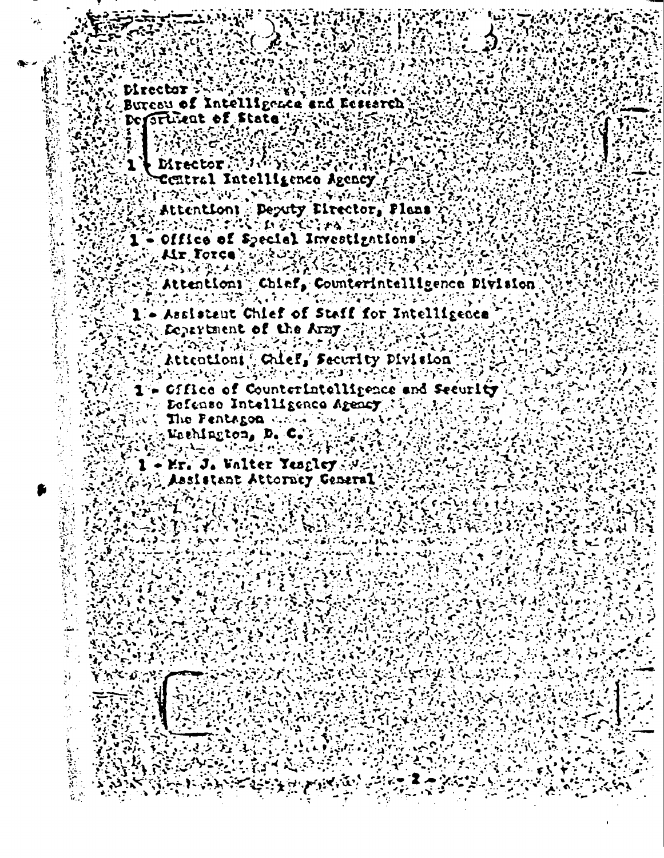- Director : W. Director Strait Western Research<br>
2: De Situat of State<br>
2: De Situat of State<br>
2: De Situat of State<br>
2: De Director<br>
2: De Director<br>
2: Decettral Intelligence Agency<br>
2: 2: Attention<br>
2: Attention<br>
2: Decety Piector,
	-
	-
	-
	- Attentions Chief, Counterintelligence Division
		-
		-
	-
	-
	- Arion Attention (Chief, Security Division 1999) SirFrie Bofenso Intelligence Agency 34 14 15 14 15
		-
		- SAN ANG PANGANANG PANG
	- $\mathcal{L}^{\mathcal{A}\mathcal{R}}$  $\mathcal{F}$  1 - Mr. J. Walter Yesgley A Assistant Attorney Ceneral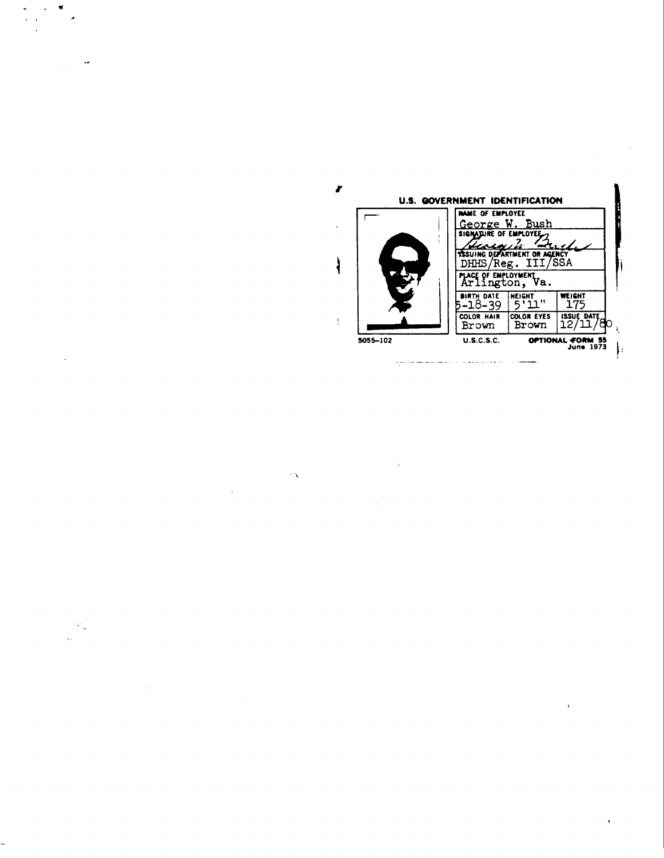

 $\sim S$ 

μ,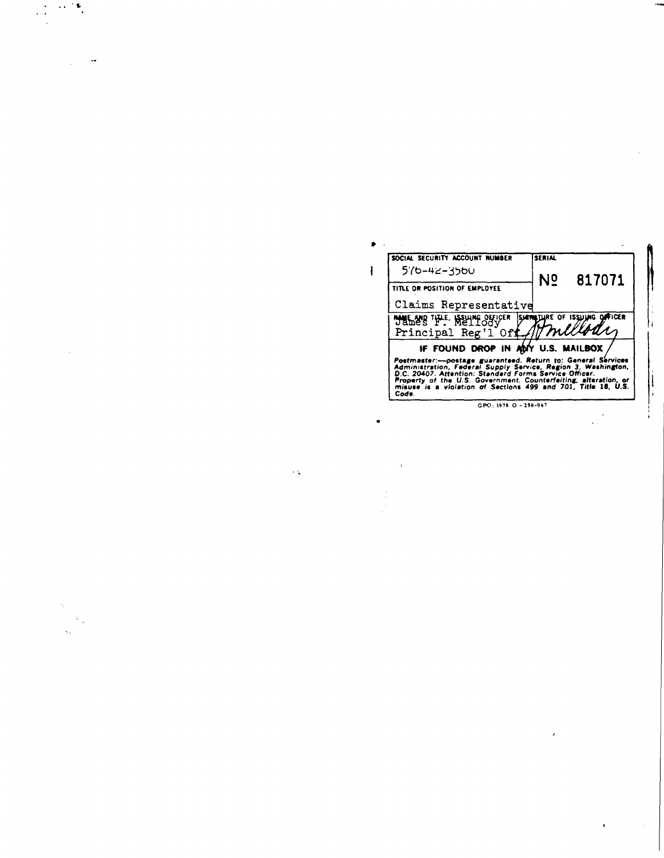| <b>SERIAL</b>            | SOCIAL SECURITY ACCOUNT NUMBER                                                                                                                                                                                                                                                                                                        |
|--------------------------|---------------------------------------------------------------------------------------------------------------------------------------------------------------------------------------------------------------------------------------------------------------------------------------------------------------------------------------|
| N <sub>2</sub><br>817071 | 576-42-3560                                                                                                                                                                                                                                                                                                                           |
|                          | TITLE OR POSITION OF EMPLOYEE                                                                                                                                                                                                                                                                                                         |
|                          | Claims Representative                                                                                                                                                                                                                                                                                                                 |
|                          | HALLAND THE ISSUING OFFICER SHIPBTURE OF ISSUING OFFICER                                                                                                                                                                                                                                                                              |
|                          | Principal Reg'l Off                                                                                                                                                                                                                                                                                                                   |
|                          | IF FOUND DROP IN ADY U.S. MAILBOX                                                                                                                                                                                                                                                                                                     |
|                          | Postmaster:---postage guaranteed. Return to: General Services<br>Administration, Federal Supply Service, Region 3, Washington,<br>D.C. 20407. Attention: Standard Forms Service Officer.<br>Property of the U.S. Government. Counterfeiting, alteration, or<br>misuse is a violation of Sections 499 and 701, Title 18, U.S.<br>Code. |
|                          | $GPO: 1978O - 258-967$                                                                                                                                                                                                                                                                                                                |

 $\mathcal{L}_{\text{max}}$ 

 $\sim$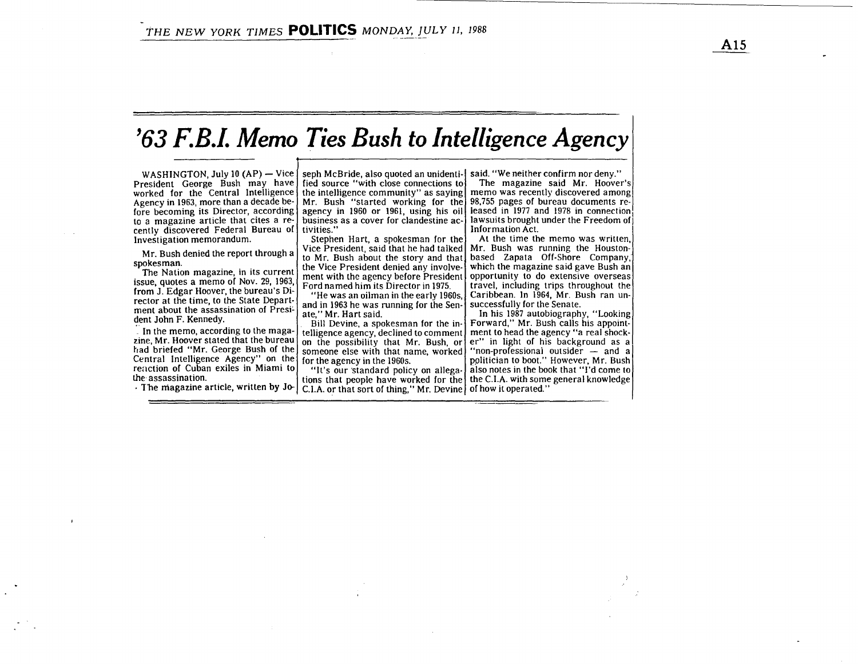# '63 F.B.I. Memo Ties Bush to Intelligence Agency

WASHINGTON, July 10 (AP) – Vice seph McBride, also quoted an unidenti- said. "We neither confirm nor deny." President George Bush may have worked for the Central Intelligence the intelligence community" as saying Agency in 1963, more than a decade before becoming its Director, according to a magazine article that cites a recently discovered Federal Bureau of Investigation memorandum.

Mr. Bush denied the report through a spokesman.

The Nation magazine, in its current issue, quotes a memo of Nov. 29, 1963, from J. Edgar Hoover, the bureau's Director at the time, to the State Department about the assassination of President John F. Kennedy.

In the memo, according to the magazine, Mr. Hoover stated that the bureau had briefed "Mr. George Bush of the Central Intelligence Agency" on the reaction of Cuban exiles in Miami to the assassination .

The magazine article, written by Jo-

fied source "with close connections to Mr. Bush "started working for the agency in 1960 or 1961, using his oil business as a cover for clandestine activities ."

Stephen Hart, <sup>a</sup> spokesman for the Vice President, said that he had talked to Mr. Bush about the story and that the Vice President denied any involvement with the agency before President Ford named him its Director in 1975

"He was an oilman in the early 1960s, and in 1963 he was running for the Senate," Mr. Hart said.

Bill Devine, a spokesman for the intelligence agency, declined to comment on the possibility that Mr. Bush, or someone else with that name, worked for the agency in the 1960s.

"It's our 'standard policy on allegations that people have worked for the  $C.I.A.$  or that sort of thing," Mr. Devine  $\int$  of how it operated."

The magazine said Mr. Hoover's memo was recently discovered among 98,755 pages of bureau documents released in 1977 and 1978 in connection lawsuits brought under the Freedom of Information Act.

At the time the memo was written, Mr. Bush was running the Houstonbased Zapata Off-Shore Company, which the magazine said gave Bush an opportunity to do extensive overseas travel, including trips throughout the Caribbean. In 1964, Mr. Bush ran unsuccessfully for the Senate.

In his 1987 autobiography, "Looking Forward," Mr. Bush calls his appointment to head the agency "a real shocker" in light of his background as a "non-professional outsider  $-$  and a politician to boot." However, Mr. Bush also notes in the book that "I'd come to the C.I .A . with some general knowledge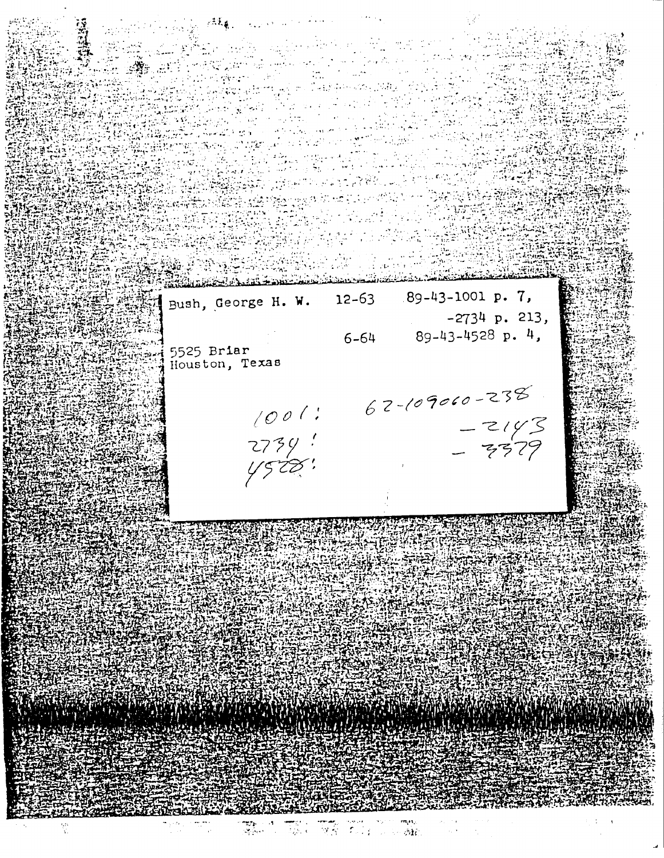Bush, George H. W.

5525 Briar Houston, Texas

 $1001$ 2734 !<br>Y528 !  $6 - 64$ 

 $12 - 63$ 

A TERRITORIA

 $62 - 109000 - 238$  $-2143$ <br>- 3379

89-43-1001 p. 7,

89-43-4528 p. 4,

 $-2734$  p. 213,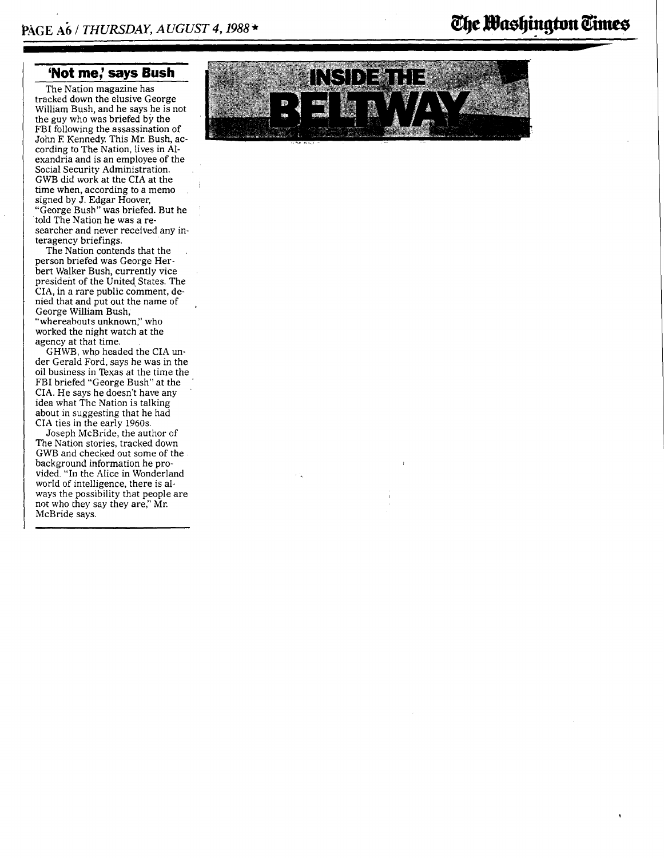## 'Not me,' says Bush

The Nation magazine has tracked down the elusive George William Bush, and he says he is not the guy who was briefed by the FBI following the assassination of John F Kennedy. This Mr. Bush, according to The Nation, lives in Alexandria and is an employee of the Social Security Administration. GWB did work at the CIA at the time when, according to <sup>a</sup> memo signed by J. Edgar Hoover, "George Bush" was briefed. But he told The Nation he was a researcher and never received any interagency briefings.

The Nation contends that the person briefed was George Herbert Walker Bush, currently vice president of the United States. The CIA, in a rare public comment, denied that and put out the name of George William Bush; "whereabouts unknown," who worked the night watch at the agency at that time.

GHWB, who headed the CIA under Gerald Ford, says he was in the oil business in Texas at the time the FBI briefed "George Bush" at the CIA. He says he doesn't have any idea what The Nation is talking about in suggesting that he had CIA ties in the early 1960s.

Joseph McBride, the author of The Nation stories, tracked down GWB and checked out some of the background information he provided. "In the Alice in Wonderland world of intelligence, there is always the possibility that people are not who they say they are," Mr. McBride says.



# The Mashington Times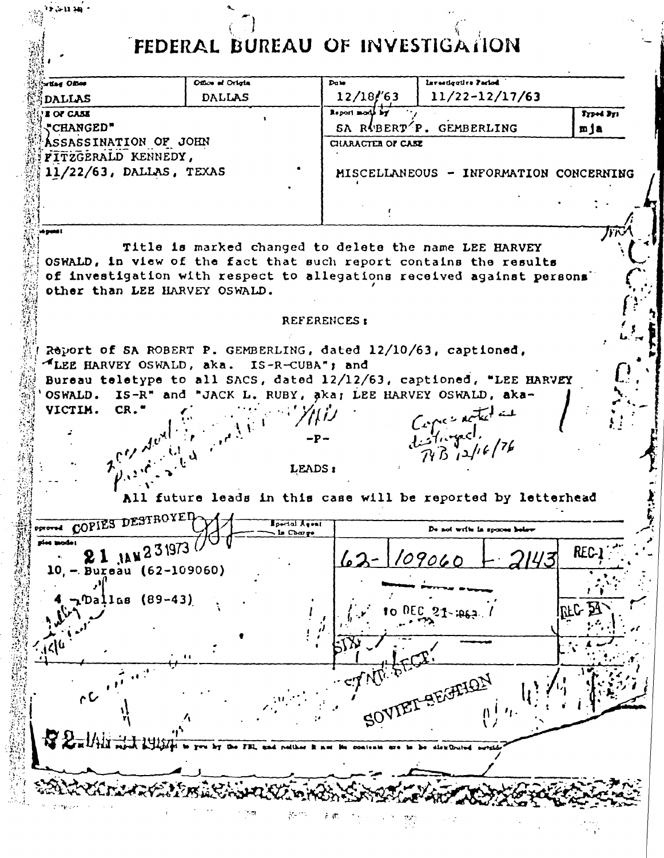FEDERAL BUREAU OF INVESTIGATION

 $\frac{1}{\sqrt{2}}$ 

| Report mode by<br><b>E OF CASE</b><br>SA RUBERT <sup>T</sup> P. GEMBERLING<br><b>"CHANGED"</b><br><b>ASSASSINATION OF JOHN</b><br>CHARACTER OF CASE<br>FITZGERALD KENNEDY,<br>11/22/63, DALLAS, TEXAS<br>MISCELLANEOUS - INFORMATION CONCERNING<br>a gund l<br>Title is marked changed to delete the name LEE HARVEY<br>OSWALD, in view of the fact that such report contains the results<br>of investigation with respect to allegations received against persons'<br>other than LEE HARVEY OSWALD.<br>REFERENCES:<br>Report of SA ROBERT P. GEMBERLING, dated 12/10/63, captioned,<br>LEE HARVEY OSWALD, aka. IS-R-CUBA"; and<br>Bureau teletype to all SACS, dated 12/12/63, captioned, "LEE HARVEY<br>OSWALD. IS-R" and "JACK L. RUBY, aka; LEE HARVEY OSWALD, aka-<br>VICTIM.<br>Capes noted as<br>distinged,<br>$R_{B,12}/k/7k$<br>$2\int_{\rho_{A^2},\rho_{A^2}}^{\rho_{A^2}}\frac{d\sigma^2(\frac{1}{\sqrt{2}})}{d\sigma^2(\frac{1}{\sqrt{2}})}\,d\sigma^2(\frac{1}{\sqrt{2}})$<br>LEADS:<br>All future leads in this case will be reported by letterhead<br>DESTROYED-<br>of write in spaces helsw<br>ls Charge<br>rios mode:<br><b>JAN</b> 231973<br>REC-1<br>62<br>109065<br>$(62 - 109060)$<br>- Bureau<br>10.<br><b>, Dallas</b> (89-43)<br>$\mathbb{R}$ c $\mathbb{R}$<br>DEC<br>$21 - 1062$<br>$\bullet$<br><b>FORTELON</b><br>$\mathcal{C}$<br>50 <sup>7</sup> | ortlag Office<br><b>DALLAS</b> | Office of Origin<br><b>DALLAS</b> | Date<br>12/18/63 | Investigative Pariod<br>$11/22 - 12/17/63$ |                  |
|--------------------------------------------------------------------------------------------------------------------------------------------------------------------------------------------------------------------------------------------------------------------------------------------------------------------------------------------------------------------------------------------------------------------------------------------------------------------------------------------------------------------------------------------------------------------------------------------------------------------------------------------------------------------------------------------------------------------------------------------------------------------------------------------------------------------------------------------------------------------------------------------------------------------------------------------------------------------------------------------------------------------------------------------------------------------------------------------------------------------------------------------------------------------------------------------------------------------------------------------------------------------------------------------------------------------------------------------------------------------------------|--------------------------------|-----------------------------------|------------------|--------------------------------------------|------------------|
|                                                                                                                                                                                                                                                                                                                                                                                                                                                                                                                                                                                                                                                                                                                                                                                                                                                                                                                                                                                                                                                                                                                                                                                                                                                                                                                                                                                |                                |                                   |                  |                                            | Typed Bys<br>mja |
|                                                                                                                                                                                                                                                                                                                                                                                                                                                                                                                                                                                                                                                                                                                                                                                                                                                                                                                                                                                                                                                                                                                                                                                                                                                                                                                                                                                |                                |                                   |                  |                                            |                  |
|                                                                                                                                                                                                                                                                                                                                                                                                                                                                                                                                                                                                                                                                                                                                                                                                                                                                                                                                                                                                                                                                                                                                                                                                                                                                                                                                                                                |                                |                                   |                  |                                            |                  |
|                                                                                                                                                                                                                                                                                                                                                                                                                                                                                                                                                                                                                                                                                                                                                                                                                                                                                                                                                                                                                                                                                                                                                                                                                                                                                                                                                                                |                                |                                   |                  |                                            |                  |
|                                                                                                                                                                                                                                                                                                                                                                                                                                                                                                                                                                                                                                                                                                                                                                                                                                                                                                                                                                                                                                                                                                                                                                                                                                                                                                                                                                                |                                |                                   |                  |                                            |                  |
|                                                                                                                                                                                                                                                                                                                                                                                                                                                                                                                                                                                                                                                                                                                                                                                                                                                                                                                                                                                                                                                                                                                                                                                                                                                                                                                                                                                |                                |                                   |                  |                                            |                  |
|                                                                                                                                                                                                                                                                                                                                                                                                                                                                                                                                                                                                                                                                                                                                                                                                                                                                                                                                                                                                                                                                                                                                                                                                                                                                                                                                                                                |                                |                                   |                  |                                            |                  |
|                                                                                                                                                                                                                                                                                                                                                                                                                                                                                                                                                                                                                                                                                                                                                                                                                                                                                                                                                                                                                                                                                                                                                                                                                                                                                                                                                                                |                                |                                   |                  |                                            |                  |
|                                                                                                                                                                                                                                                                                                                                                                                                                                                                                                                                                                                                                                                                                                                                                                                                                                                                                                                                                                                                                                                                                                                                                                                                                                                                                                                                                                                |                                |                                   |                  |                                            |                  |
|                                                                                                                                                                                                                                                                                                                                                                                                                                                                                                                                                                                                                                                                                                                                                                                                                                                                                                                                                                                                                                                                                                                                                                                                                                                                                                                                                                                |                                |                                   |                  |                                            |                  |
|                                                                                                                                                                                                                                                                                                                                                                                                                                                                                                                                                                                                                                                                                                                                                                                                                                                                                                                                                                                                                                                                                                                                                                                                                                                                                                                                                                                |                                |                                   |                  |                                            |                  |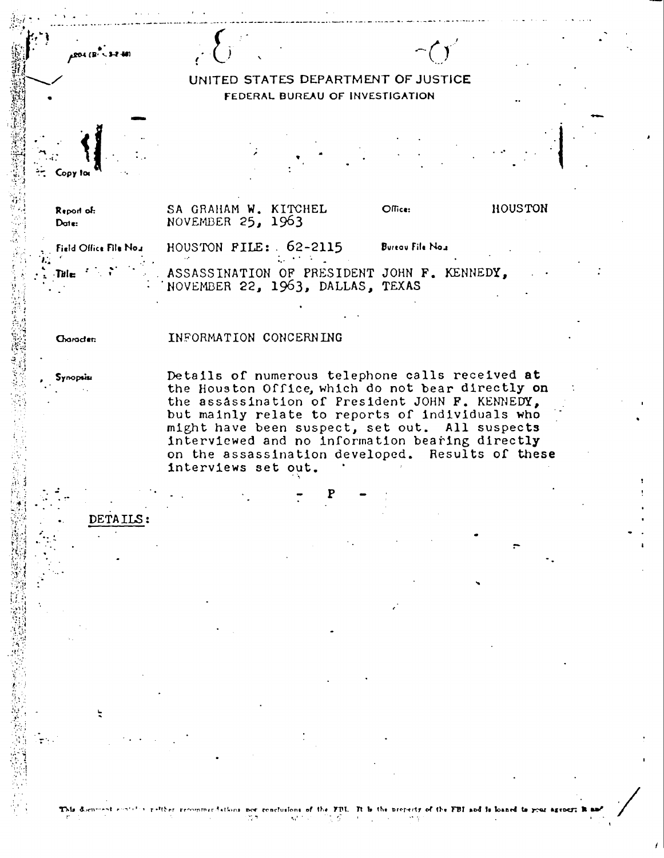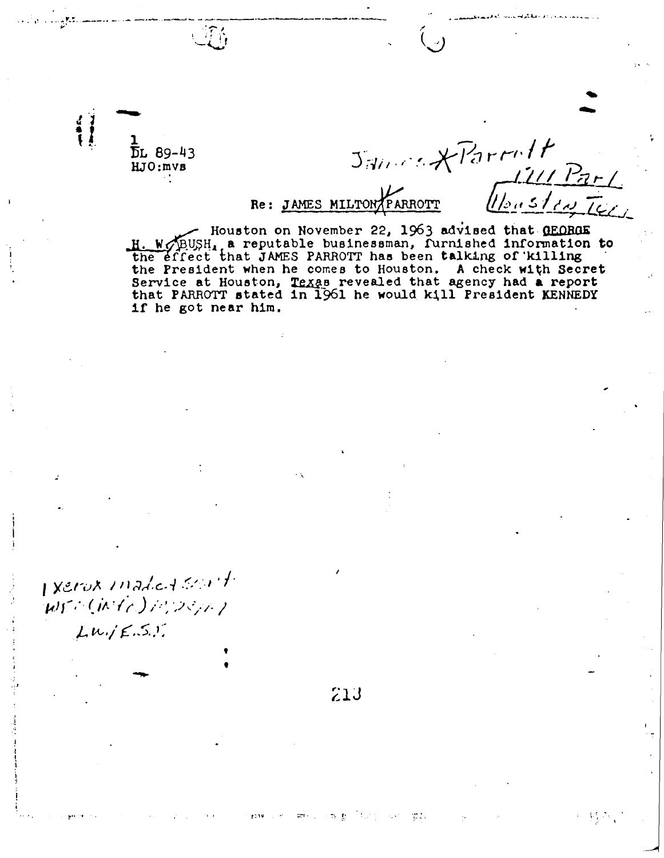1 DL 89-43<br>" KJO :mvs

I xerox inadical sont Wr: (Mic) MOSAL

 $Lw,jE.S.J.$ 

Re : JAMES MILTO nMOTT /b

dolft

 $V_{\rm{eff}}^{\rm{E}}$  ,  $\gamma_{\rm{E}}$ 

Houston on November 22, 1963 advised that GEORGE H. WOBUSH, a reputable businessman, furnished information to the effect that JAMES PARROTT has been talking of 'killing the President when he comes to Houston . A check with Secret Service at Houston, Texas revealed that agency had a report that PARROTT stated in 1961 he would kill President KENNEDY if he got near him .

213

 $7231$ 

 $\mathcal{R}(\mathbb{R}^n)$  . We can expect the  $\mathcal{R}(\mathbb{R}^n)$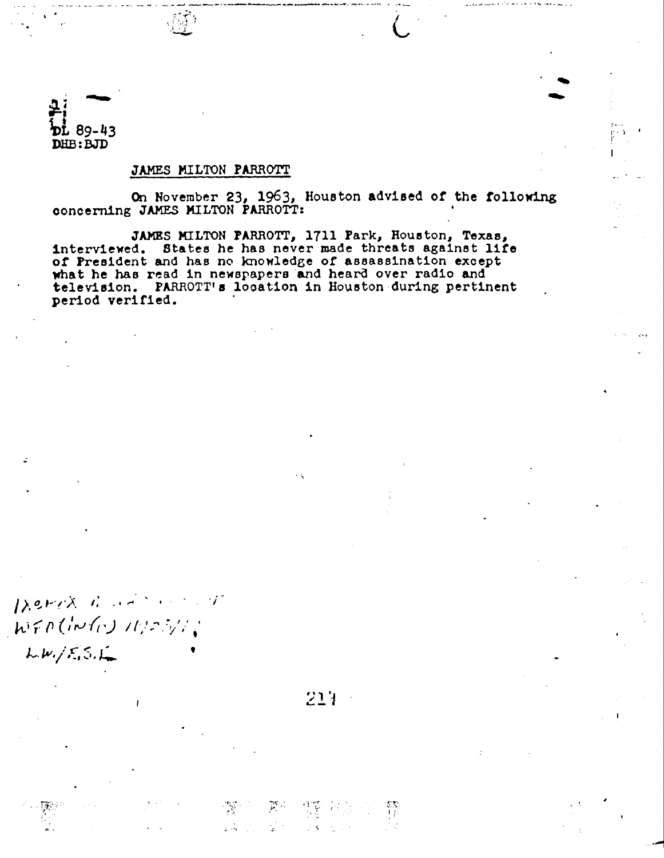

### JAMES MILTON PARROTT

On November 23, 1963, Houston advised of the following concerning JAMES MILTON PARROTT:

 $\bullet$ 70

JAMBS MILTON PARROTT, 1711 Park, Houston, Texas, interviewed. States he has never made threats against life of President and has no knowledge of assassination except what he has read in newspapers and heard over radio and television. PARROTT's location in Houston during pertinent period verified.

Derra Garage and WFA(IN(v) 11/23/1;  $LW_1/E_1S_1L_2$ 

214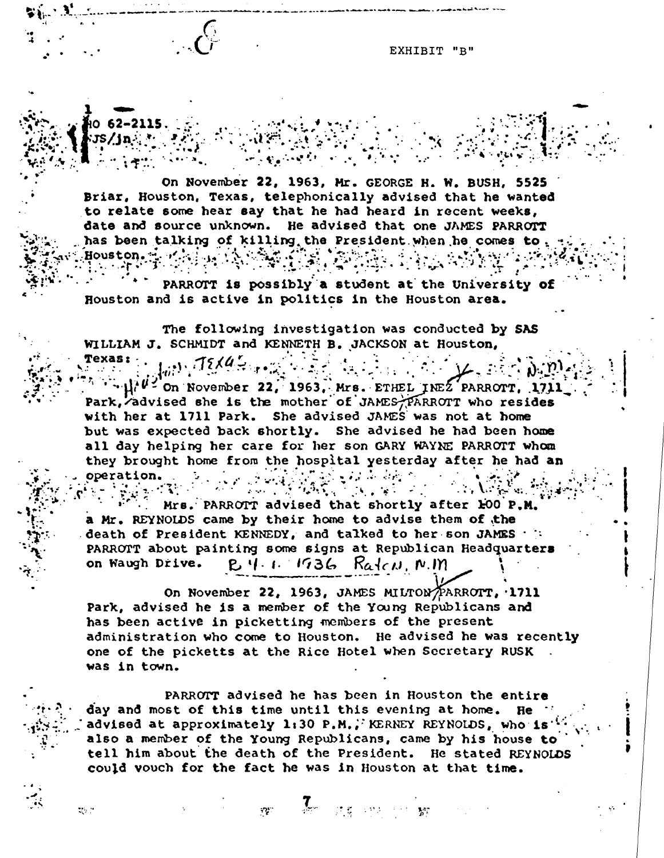EXHIBIT "B"

On November 22, 1963, Mr. GEORGE H. W. BUSH, 5525 Briar, Houston, Texas, telephonically advised that he wanted to relate some hear say that he had heard in recent weeks, date and source unknown. He advised that one JAMES PARROTT has been talking of killing the President when he comes to. Houston. 4. 1

PARROTT is possibly a student at the University of Houston and is active in politics in the Houston area.

The following investigation was conducted by SAS WILLIAM J. SCHMIDT and KENNETH B. JACKSON at Houston,

 $\int_{0}^{1}$ . TEXUS  $\mu^{\mu}$  on November 22, 1963, Mrs. ETHEL INEZ PARROTT, 1711 Park, advised she is the mother of JAMES PARROTT who resides with her at 1711 Park. She advised JAMES was not at home but was expected back shortly. She advised he had been home all day helping her care for her son GARY WAYNE PARROTT whom they brought home from the hospital yesterday after he had an operation. operation.

المستوفية والمتوافق Mrs. PARROTT advised that shortly after 100 P.M. a Mr. REYNOLDS came by their home to advise them of the death of President KENNEDY, and talked to her-son JAMES  $\cdot$  : PARROTT about painting some signs at Republican Headquarters<br>on Waugh Drive. P. 4. 1. 1936 Radau N.M  $B.4.1.1736$  Ratco, N.M.

 $\mathcal{L}(\mathbf{x}) = \mathcal{L}(\mathbf{x}) = \mathcal{L}(\mathbf{x})$ 

On November 22, 1963, JAMES MILTON/PARROTT, 1711 Park, advised he is a member of the Young Republicans and has been active in picketting members of the present administration who come to Houston. He advised he was recently one of the picketts at the Rice Hotel when Secretary RUSK was in town.

PARROTT advised he has been in Houston the entire day and most of this time until this evening at home. He  $^{+1}$ advised at approximately 1:30 P.M. ; KERNEY REYNOLDS, who is'' also a member of the Young Republicans, came by his house to tell him about the death of the President. He stated REYNOLDS could vouch for the fact he was in Houston at that time .

 $\mathcal{I}_{\mathcal{C}}$  ,  $\mathcal{I}_{\mathcal{B}}$  ,  $\mathcal{P}_{\mathcal{C}}$  ,

**ディキー 製写** 

t

tty n

i

 $1062 - 2115$  $i$  . in ...

Texas: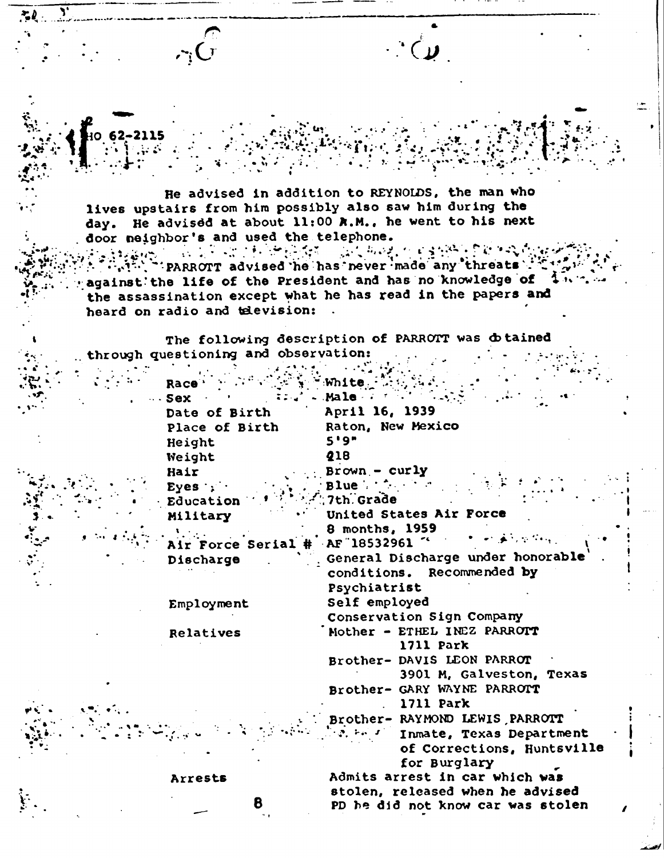He advised in addition to REYNOLDS, the man who lives upstairs from him possibly also saw him during the day. He advised at about 11:00 R.M., he went to his next door neighbor's and used the telephone.<br>Also teams and is a limit of the set model restable to revising which

 $1/\mathbb{Z} \times \mathbb{Z}$ 

 $\cdot \cdot$  (  $\mu$ 

i . <sup>I</sup>

 $\mathcal{N}^{(1)}$ ''PARROTT advised 'he has never 'made any 'threats' 3 . . . . "\_ against' the life of the President and has no knowledge of the assassination except what he has read in the papers and heard on radio and television: .

 $\sum_{i} k_i$ 

 $\blacktriangleright$ 

v

The following description of PARROTT was dotained through questioning and observation:

| Race <sup>+</sup>       | :White.                           |
|-------------------------|-----------------------------------|
| $\cdots$ Sex            | Male                              |
| Date of Birth           | April 16, 1939                    |
| Place of Birth          | Raton, New Mexico                 |
| Height                  | 5'9''                             |
| Weight                  | 218                               |
| Hair                    | $Brown - curly$                   |
| Eyes:                   | $Blue \cdot \cdot \cdot$          |
| Education               | 7th Grade                         |
| Military                | United States Air Force           |
|                         | 8 months, 1959                    |
| <b>Air Force Serial</b> | AF 18532961                       |
| Discharge               | General Discharge under honorable |
|                         | conditions. Recommended by        |
|                         | Psychiatrist                      |
| Employment              | Self employed                     |
|                         | Conservation Sign Company         |
| <b>Relatives</b>        | Mother - ETHEL INEZ PARROTT       |
|                         | 1711 Park                         |
|                         | Brother- DAVIS LEON PARROT        |
|                         | 3901 M, Galveston, Texas          |
|                         | Brother- GARY WAYNE PARROTT       |
|                         | 1711 Park                         |
|                         | Brother- RAYMOND LEWIS PARROTT    |
|                         | Inmate, Texas Department          |
|                         | of Corrections, Huntsville        |
|                         | for Burglary                      |
| Arrests                 | Admits arrest in car which was    |
| 8                       | stolen, released when he advised  |
|                         | PD he did not know car was stolen |